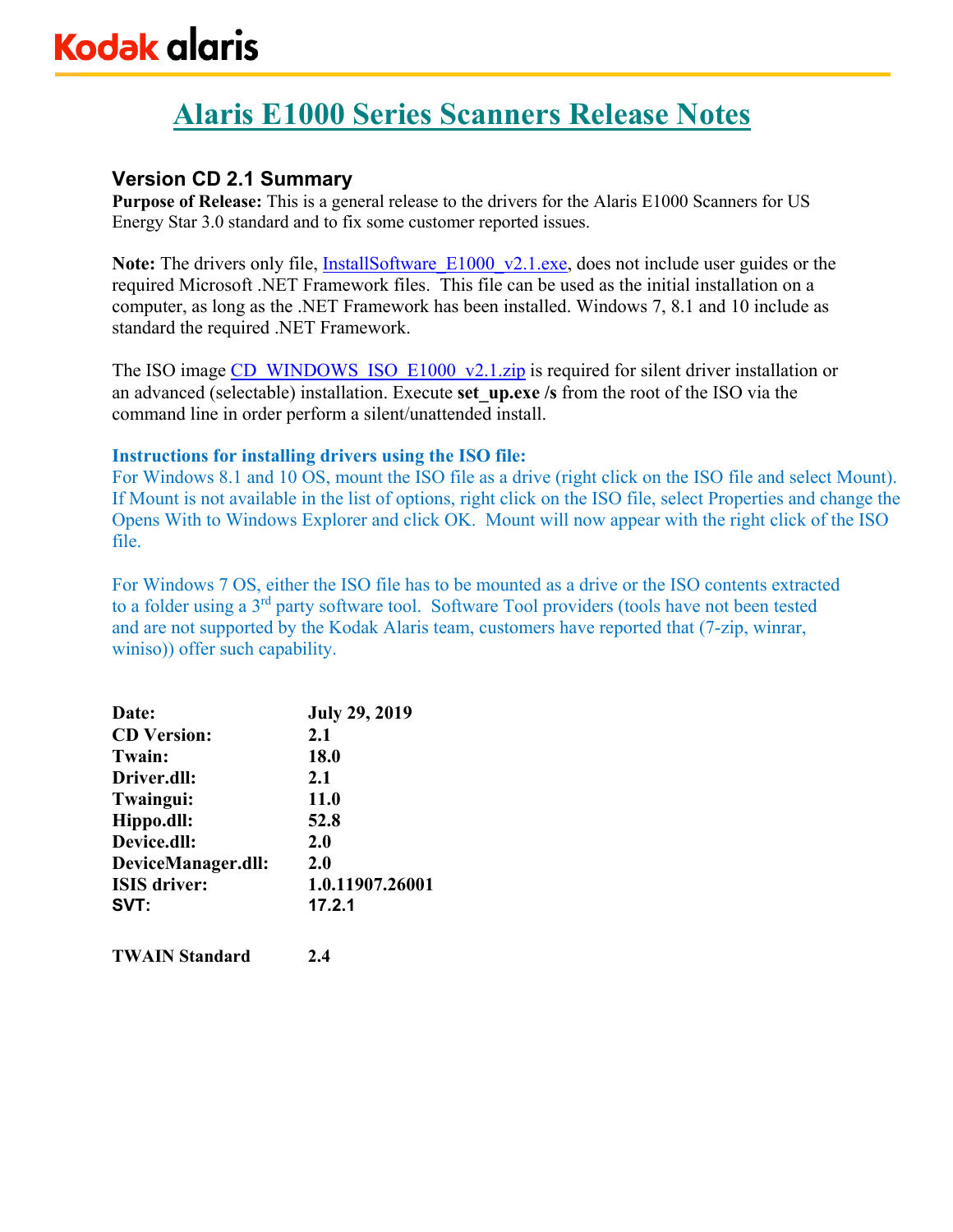# **Kodak alaris**

# **Alaris E1000 Series Scanners Release Notes**

## **Version CD 2.1 Summary**

**Purpose of Release:** This is a general release to the drivers for the Alaris E1000 Scanners for US Energy Star 3.0 standard and to fix some customer reported issues.

**Note:** The drivers only file, **InstallSoftware** E1000 v2.1.exe, does not include user guides or the required Microsoft .NET Framework files. This file can be used as the initial installation on a computer, as long as the .NET Framework has been installed. Windows 7, 8.1 and 10 include as standard the required .NET Framework.

The ISO image CD\_WINDOWS\_ISO\_E1000\_v2.1.zip is required for silent driver installation or an advanced (selectable) installation. Execute **set\_up.exe /s** from the root of the ISO via the command line in order perform a silent/unattended install.

## **Instructions for installing drivers using the ISO file:**

For Windows 8.1 and 10 OS, mount the ISO file as a drive (right click on the ISO file and select Mount). If Mount is not available in the list of options, right click on the ISO file, select Properties and change the Opens With to Windows Explorer and click OK. Mount will now appear with the right click of the ISO file.

For Windows 7 OS, either the ISO file has to be mounted as a drive or the ISO contents extracted to a folder using a 3rd party software tool. Software Tool providers (tools have not been tested and are not supported by the Kodak Alaris team, customers have reported that (7-zip, winrar, winiso)) offer such capability.

| Date:               | <b>July 29, 2019</b> |
|---------------------|----------------------|
| <b>CD</b> Version:  | 2.1                  |
| <b>Twain:</b>       | 18.0                 |
| Driver.dll:         | 2.1                  |
| Twaingui:           | <b>11.0</b>          |
| Hippo.dll:          | 52.8                 |
| Device.dll:         | 2.0                  |
| DeviceManager.dll:  | 2.0                  |
| <b>ISIS</b> driver: | 1.0.11907.26001      |
| SVT:                | 17.2.1               |
|                     |                      |

**TWAIN Standard 2.4**